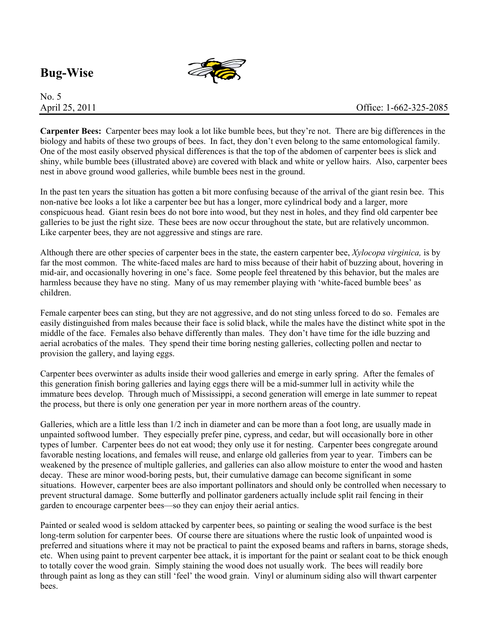## **Bug-Wise**



## No. 5

**Carpenter Bees:** Carpenter bees may look a lot like bumble bees, but they're not. There are big differences in the biology and habits of these two groups of bees. In fact, they don't even belong to the same entomological family. One of the most easily observed physical differences is that the top of the abdomen of carpenter bees is slick and shiny, while bumble bees (illustrated above) are covered with black and white or yellow hairs. Also, carpenter bees nest in above ground wood galleries, while bumble bees nest in the ground.

In the past ten years the situation has gotten a bit more confusing because of the arrival of the giant resin bee. This non-native bee looks a lot like a carpenter bee but has a longer, more cylindrical body and a larger, more conspicuous head. Giant resin bees do not bore into wood, but they nest in holes, and they find old carpenter bee galleries to be just the right size. These bees are now occur throughout the state, but are relatively uncommon. Like carpenter bees, they are not aggressive and stings are rare.

Although there are other species of carpenter bees in the state, the eastern carpenter bee, *Xylocopa virginica,* is by far the most common. The white-faced males are hard to miss because of their habit of buzzing about, hovering in mid-air, and occasionally hovering in one's face. Some people feel threatened by this behavior, but the males are harmless because they have no sting. Many of us may remember playing with 'white-faced bumble bees' as children.

Female carpenter bees can sting, but they are not aggressive, and do not sting unless forced to do so. Females are easily distinguished from males because their face is solid black, while the males have the distinct white spot in the middle of the face. Females also behave differently than males. They don't have time for the idle buzzing and aerial acrobatics of the males. They spend their time boring nesting galleries, collecting pollen and nectar to provision the gallery, and laying eggs.

Carpenter bees overwinter as adults inside their wood galleries and emerge in early spring. After the females of this generation finish boring galleries and laying eggs there will be a mid-summer lull in activity while the immature bees develop. Through much of Mississippi, a second generation will emerge in late summer to repeat the process, but there is only one generation per year in more northern areas of the country.

Galleries, which are a little less than 1/2 inch in diameter and can be more than a foot long, are usually made in unpainted softwood lumber. They especially prefer pine, cypress, and cedar, but will occasionally bore in other types of lumber. Carpenter bees do not eat wood; they only use it for nesting. Carpenter bees congregate around favorable nesting locations, and females will reuse, and enlarge old galleries from year to year. Timbers can be weakened by the presence of multiple galleries, and galleries can also allow moisture to enter the wood and hasten decay. These are minor wood-boring pests, but, their cumulative damage can become significant in some situations. However, carpenter bees are also important pollinators and should only be controlled when necessary to prevent structural damage. Some butterfly and pollinator gardeners actually include split rail fencing in their garden to encourage carpenter bees—so they can enjoy their aerial antics.

Painted or sealed wood is seldom attacked by carpenter bees, so painting or sealing the wood surface is the best long-term solution for carpenter bees. Of course there are situations where the rustic look of unpainted wood is preferred and situations where it may not be practical to paint the exposed beams and rafters in barns, storage sheds, etc. When using paint to prevent carpenter bee attack, it is important for the paint or sealant coat to be thick enough to totally cover the wood grain. Simply staining the wood does not usually work. The bees will readily bore through paint as long as they can still 'feel' the wood grain. Vinyl or aluminum siding also will thwart carpenter bees.